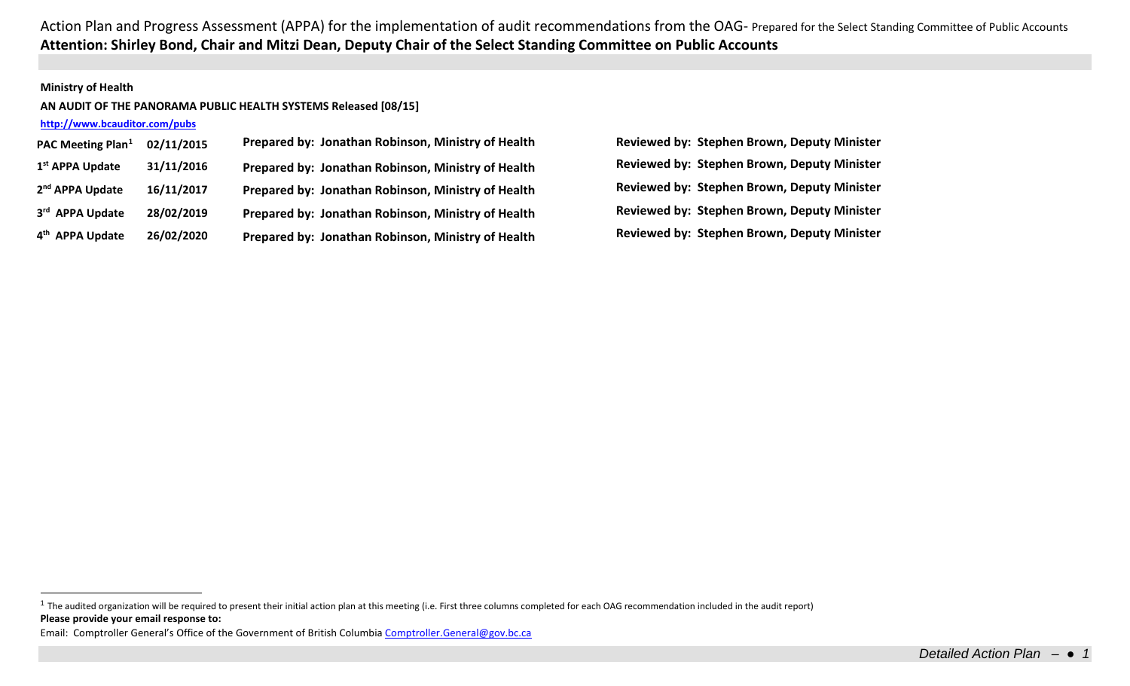## **Ministry of Health**

## **AN AUDIT OF THE PANORAMA PUBLIC HEALTH SYSTEMS Released [08/15]**

# **<http://www.bcauditor.com/pubs>**

| PAC Meeting Plan <sup>1</sup> | 02/11/2015 | Prepared by: Jonathan Robinson, Ministry of Health |
|-------------------------------|------------|----------------------------------------------------|
| 1 <sup>st</sup> APPA Update   | 31/11/2016 | Prepared by: Jonathan Robinson, Ministry of Health |
| 2 <sup>nd</sup> APPA Update   | 16/11/2017 | Prepared by: Jonathan Robinson, Ministry of Health |
| 3rd APPA Update               | 28/02/2019 | Prepared by: Jonathan Robinson, Ministry of Health |
| 4 <sup>th</sup> APPA Update   | 26/02/2020 | Prepared by: Jonathan Robinson, Ministry of Health |

<span id="page-0-0"></span>**PAC Meeting Plan[1](#page-0-0) 02/11/2015 Prepared by: Jonathan Robinson, Ministry of Health Reviewed by: Stephen Brown, Deputy Minister 1st APPA Update 31/11/2016 Prepared by: Jonathan Robinson, Ministry of Health Reviewed by: Stephen Brown, Deputy Minister 2nd APPA Update 16/11/2017 Prepared by: Jonathan Robinson, Ministry of Health Reviewed by: Stephen Brown, Deputy Minister 3rd APPA Update 28/02/2019 Prepared by: Jonathan Robinson, Ministry of Health Reviewed by: Stephen Brown, Deputy Minister 4th APPA Update 26/02/2020 Prepared by: Jonathan Robinson, Ministry of Health Reviewed by: Stephen Brown, Deputy Minister**

**Please provide your email response to:**  $1$  The audited organization will be required to present their initial action plan at this meeting (i.e. First three columns completed for each OAG recommendation included in the audit report)

Email: Comptroller General's Office of the Government of British Columbi[a Comptroller.General@gov.bc.ca](mailto:Comptroller.General@gov.bc.ca)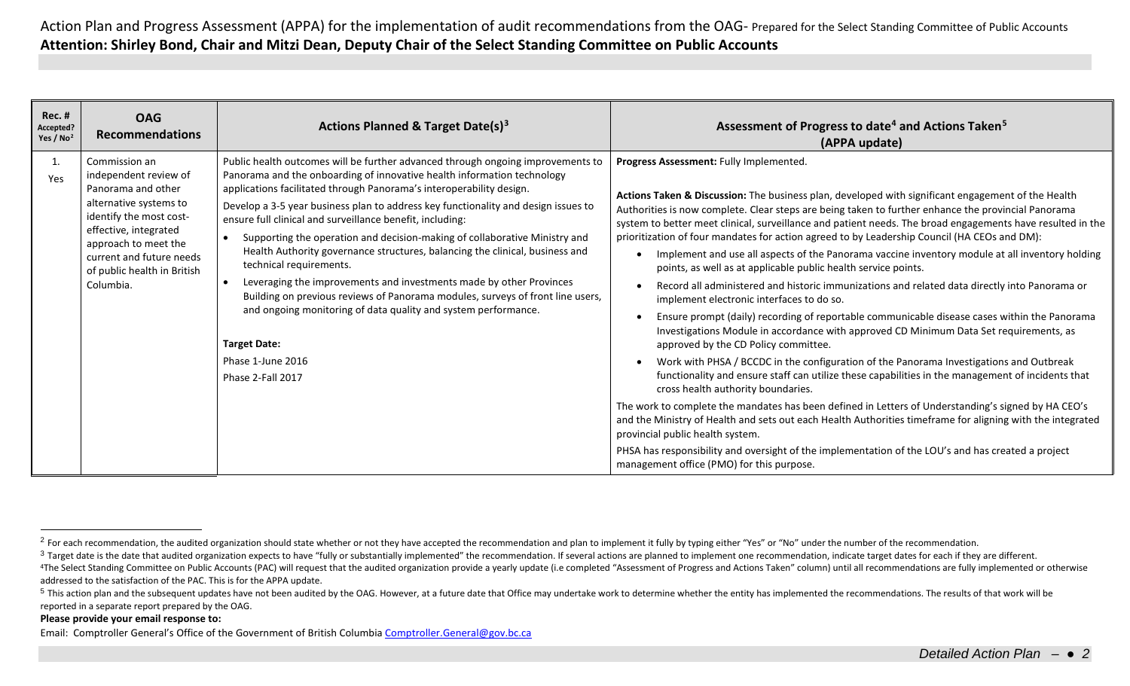<span id="page-1-3"></span><span id="page-1-2"></span><span id="page-1-1"></span><span id="page-1-0"></span>

| <b>Rec. #</b><br>Accepted?<br>Yes / $No2$ | <b>OAG</b><br><b>Recommendations</b>                                                                                                                                                                                                       | Actions Planned & Target Date(s) <sup>3</sup>                                                                                                                                                                                                                                                                                                                                                                                                                                                                                                                                                                                                                                                                                                                                                                                                                              | Assessment of Progress to date <sup>4</sup> and Actions Taken <sup>5</sup><br>(APPA update)                                                                                                                                                                                                                                                                                                                                                                                                                                                                                                                                                                                                                                                                                                                                                                                                                                                                                                                                                                                                                                                                                                                                                                                                                                                                                                                                                                                                                                                                                                                                                                               |
|-------------------------------------------|--------------------------------------------------------------------------------------------------------------------------------------------------------------------------------------------------------------------------------------------|----------------------------------------------------------------------------------------------------------------------------------------------------------------------------------------------------------------------------------------------------------------------------------------------------------------------------------------------------------------------------------------------------------------------------------------------------------------------------------------------------------------------------------------------------------------------------------------------------------------------------------------------------------------------------------------------------------------------------------------------------------------------------------------------------------------------------------------------------------------------------|---------------------------------------------------------------------------------------------------------------------------------------------------------------------------------------------------------------------------------------------------------------------------------------------------------------------------------------------------------------------------------------------------------------------------------------------------------------------------------------------------------------------------------------------------------------------------------------------------------------------------------------------------------------------------------------------------------------------------------------------------------------------------------------------------------------------------------------------------------------------------------------------------------------------------------------------------------------------------------------------------------------------------------------------------------------------------------------------------------------------------------------------------------------------------------------------------------------------------------------------------------------------------------------------------------------------------------------------------------------------------------------------------------------------------------------------------------------------------------------------------------------------------------------------------------------------------------------------------------------------------------------------------------------------------|
| 1.<br>Yes                                 | Commission an<br>independent review of<br>Panorama and other<br>alternative systems to<br>identify the most cost-<br>effective, integrated<br>approach to meet the<br>current and future needs<br>of public health in British<br>Columbia. | Public health outcomes will be further advanced through ongoing improvements to<br>Panorama and the onboarding of innovative health information technology<br>applications facilitated through Panorama's interoperability design.<br>Develop a 3-5 year business plan to address key functionality and design issues to<br>ensure full clinical and surveillance benefit, including:<br>Supporting the operation and decision-making of collaborative Ministry and<br>Health Authority governance structures, balancing the clinical, business and<br>technical requirements.<br>Leveraging the improvements and investments made by other Provinces<br>Building on previous reviews of Panorama modules, surveys of front line users,<br>and ongoing monitoring of data quality and system performance.<br><b>Target Date:</b><br>Phase 1-June 2016<br>Phase 2-Fall 2017 | Progress Assessment: Fully Implemented.<br>Actions Taken & Discussion: The business plan, developed with significant engagement of the Health<br>Authorities is now complete. Clear steps are being taken to further enhance the provincial Panorama<br>system to better meet clinical, surveillance and patient needs. The broad engagements have resulted in the<br>prioritization of four mandates for action agreed to by Leadership Council (HA CEOs and DM):<br>Implement and use all aspects of the Panorama vaccine inventory module at all inventory holding<br>points, as well as at applicable public health service points.<br>Record all administered and historic immunizations and related data directly into Panorama or<br>implement electronic interfaces to do so.<br>Ensure prompt (daily) recording of reportable communicable disease cases within the Panorama<br>Investigations Module in accordance with approved CD Minimum Data Set requirements, as<br>approved by the CD Policy committee.<br>Work with PHSA / BCCDC in the configuration of the Panorama Investigations and Outbreak<br>functionality and ensure staff can utilize these capabilities in the management of incidents that<br>cross health authority boundaries.<br>The work to complete the mandates has been defined in Letters of Understanding's signed by HA CEO's<br>and the Ministry of Health and sets out each Health Authorities timeframe for aligning with the integrated<br>provincial public health system.<br>PHSA has responsibility and oversight of the implementation of the LOU's and has created a project<br>management office (PMO) for this purpose. |

#### **Please provide your email response to:**

Email: Comptroller General's Office of the Government of British Columbi[a Comptroller.General@gov.bc.ca](mailto:Comptroller.General@gov.bc.ca)

<sup>&</sup>lt;sup>2</sup> For each recommendation, the audited organization should state whether or not they have accepted the recommendation and plan to implement it fully by typing either "Yes" or "No" under the number of the recommendation.

<sup>&</sup>lt;sup>3</sup> Target date is the date that audited organization expects to have "fully or substantially implemented" the recommendation. If several actions are planned to implement one recommendation, indicate target dates for each

<sup>&</sup>lt;sup>4</sup>The Select Standing Committee on Public Accounts (PAC) will request that the audited organization provide a yearly update (i.e completed "Assessment of Progress and Actions Taken" column) until all recommendations are f addressed to the satisfaction of the PAC. This is for the APPA update.

<sup>&</sup>lt;sup>5</sup> This action plan and the subsequent updates have not been audited by the OAG. However, at a future date that Office may undertake work to determine whether the entity has implemented the recommendations. The results of reported in a separate report prepared by the OAG.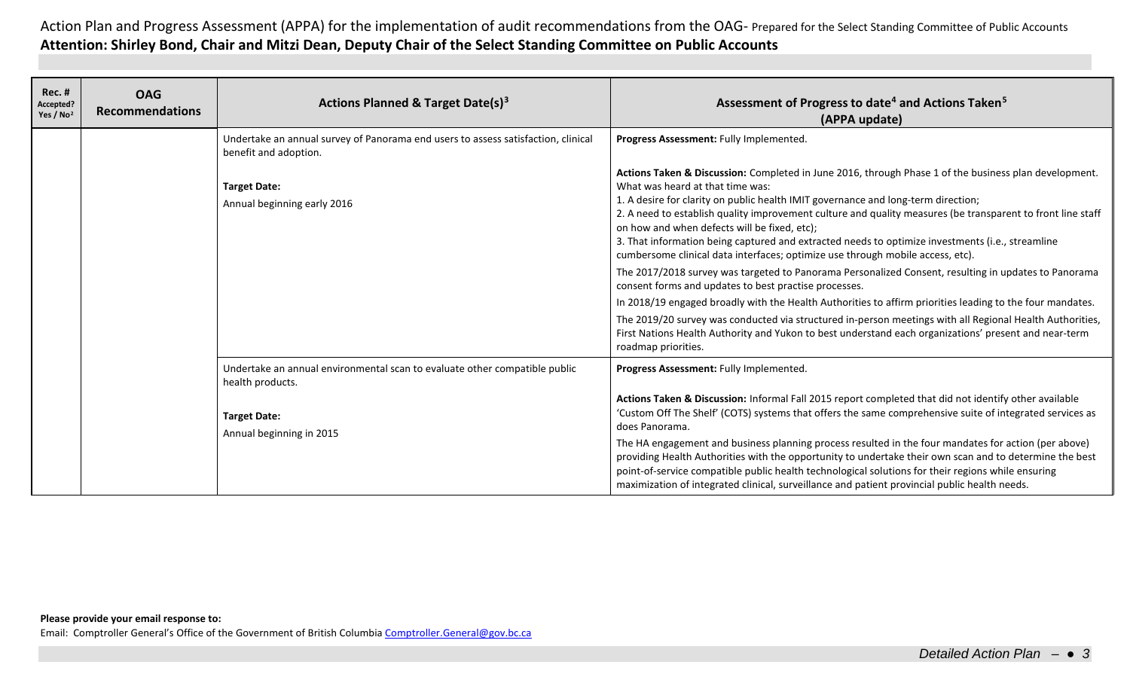| <b>Rec. #</b><br>Accepted?<br>Yes / No <sup>2</sup> | <b>OAG</b><br><b>Recommendations</b> | <b>Actions Planned &amp; Target Date(s)3</b>                                                                                                      | Assessment of Progress to date <sup>4</sup> and Actions Taken <sup>5</sup><br>(APPA update)                                                                                                                                                                                                                                                                                                                                                                                                                                                                                                                                                                                                                                                                                                                                                                                                                                                                                                                                                                                                                   |
|-----------------------------------------------------|--------------------------------------|---------------------------------------------------------------------------------------------------------------------------------------------------|---------------------------------------------------------------------------------------------------------------------------------------------------------------------------------------------------------------------------------------------------------------------------------------------------------------------------------------------------------------------------------------------------------------------------------------------------------------------------------------------------------------------------------------------------------------------------------------------------------------------------------------------------------------------------------------------------------------------------------------------------------------------------------------------------------------------------------------------------------------------------------------------------------------------------------------------------------------------------------------------------------------------------------------------------------------------------------------------------------------|
|                                                     |                                      | Undertake an annual survey of Panorama end users to assess satisfaction, clinical<br>benefit and adoption.                                        | Progress Assessment: Fully Implemented.                                                                                                                                                                                                                                                                                                                                                                                                                                                                                                                                                                                                                                                                                                                                                                                                                                                                                                                                                                                                                                                                       |
|                                                     |                                      | <b>Target Date:</b><br>Annual beginning early 2016                                                                                                | Actions Taken & Discussion: Completed in June 2016, through Phase 1 of the business plan development.<br>What was heard at that time was:<br>1. A desire for clarity on public health IMIT governance and long-term direction;<br>2. A need to establish quality improvement culture and quality measures (be transparent to front line staff<br>on how and when defects will be fixed, etc);<br>3. That information being captured and extracted needs to optimize investments (i.e., streamline<br>cumbersome clinical data interfaces; optimize use through mobile access, etc).<br>The 2017/2018 survey was targeted to Panorama Personalized Consent, resulting in updates to Panorama<br>consent forms and updates to best practise processes.<br>In 2018/19 engaged broadly with the Health Authorities to affirm priorities leading to the four mandates.<br>The 2019/20 survey was conducted via structured in-person meetings with all Regional Health Authorities,<br>First Nations Health Authority and Yukon to best understand each organizations' present and near-term<br>roadmap priorities. |
|                                                     |                                      | Undertake an annual environmental scan to evaluate other compatible public<br>health products.<br><b>Target Date:</b><br>Annual beginning in 2015 | Progress Assessment: Fully Implemented.<br>Actions Taken & Discussion: Informal Fall 2015 report completed that did not identify other available<br>'Custom Off The Shelf' (COTS) systems that offers the same comprehensive suite of integrated services as<br>does Panorama.                                                                                                                                                                                                                                                                                                                                                                                                                                                                                                                                                                                                                                                                                                                                                                                                                                |
|                                                     |                                      |                                                                                                                                                   | The HA engagement and business planning process resulted in the four mandates for action (per above)<br>providing Health Authorities with the opportunity to undertake their own scan and to determine the best<br>point-of-service compatible public health technological solutions for their regions while ensuring<br>maximization of integrated clinical, surveillance and patient provincial public health needs.                                                                                                                                                                                                                                                                                                                                                                                                                                                                                                                                                                                                                                                                                        |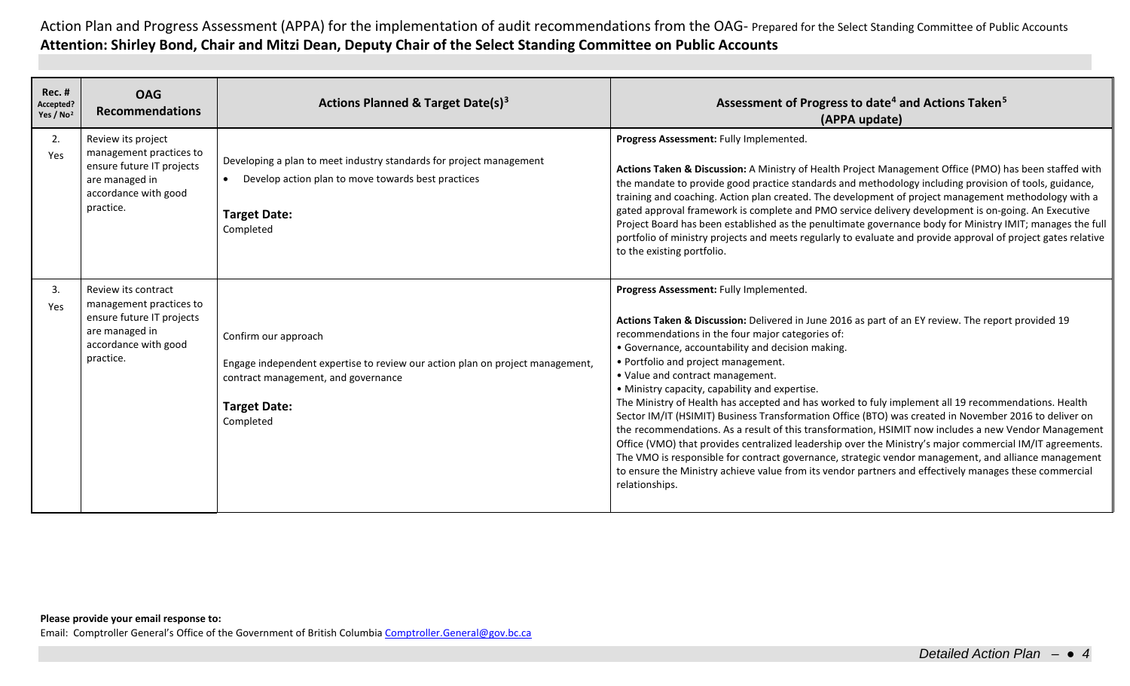| <b>Rec. #</b><br>Accepted?<br>Yes / No <sup>2</sup> | <b>OAG</b><br><b>Recommendations</b>                                                                                               | <b>Actions Planned &amp; Target Date(s)3</b>                                                                                                                                     | Assessment of Progress to date <sup>4</sup> and Actions Taken <sup>5</sup><br>(APPA update)                                                                                                                                                                                                                                                                                                                                                                                                                                                                                                                                                                                                                                                                                                                                                                                                                                                                                                                                                                 |
|-----------------------------------------------------|------------------------------------------------------------------------------------------------------------------------------------|----------------------------------------------------------------------------------------------------------------------------------------------------------------------------------|-------------------------------------------------------------------------------------------------------------------------------------------------------------------------------------------------------------------------------------------------------------------------------------------------------------------------------------------------------------------------------------------------------------------------------------------------------------------------------------------------------------------------------------------------------------------------------------------------------------------------------------------------------------------------------------------------------------------------------------------------------------------------------------------------------------------------------------------------------------------------------------------------------------------------------------------------------------------------------------------------------------------------------------------------------------|
| 2.<br>Yes                                           | Review its project<br>management practices to<br>ensure future IT projects<br>are managed in<br>accordance with good<br>practice.  | Developing a plan to meet industry standards for project management<br>Develop action plan to move towards best practices<br>$\bullet$<br><b>Target Date:</b><br>Completed       | Progress Assessment: Fully Implemented.<br>Actions Taken & Discussion: A Ministry of Health Project Management Office (PMO) has been staffed with<br>the mandate to provide good practice standards and methodology including provision of tools, guidance,<br>training and coaching. Action plan created. The development of project management methodology with a<br>gated approval framework is complete and PMO service delivery development is on-going. An Executive<br>Project Board has been established as the penultimate governance body for Ministry IMIT; manages the full<br>portfolio of ministry projects and meets regularly to evaluate and provide approval of project gates relative<br>to the existing portfolio.                                                                                                                                                                                                                                                                                                                      |
| 3.<br>Yes                                           | Review its contract<br>management practices to<br>ensure future IT projects<br>are managed in<br>accordance with good<br>practice. | Confirm our approach<br>Engage independent expertise to review our action plan on project management,<br>contract management, and governance<br><b>Target Date:</b><br>Completed | Progress Assessment: Fully Implemented.<br>Actions Taken & Discussion: Delivered in June 2016 as part of an EY review. The report provided 19<br>recommendations in the four major categories of:<br>• Governance, accountability and decision making.<br>• Portfolio and project management.<br>• Value and contract management.<br>• Ministry capacity, capability and expertise.<br>The Ministry of Health has accepted and has worked to fuly implement all 19 recommendations. Health<br>Sector IM/IT (HSIMIT) Business Transformation Office (BTO) was created in November 2016 to deliver on<br>the recommendations. As a result of this transformation, HSIMIT now includes a new Vendor Management<br>Office (VMO) that provides centralized leadership over the Ministry's major commercial IM/IT agreements.<br>The VMO is responsible for contract governance, strategic vendor management, and alliance management<br>to ensure the Ministry achieve value from its vendor partners and effectively manages these commercial<br>relationships. |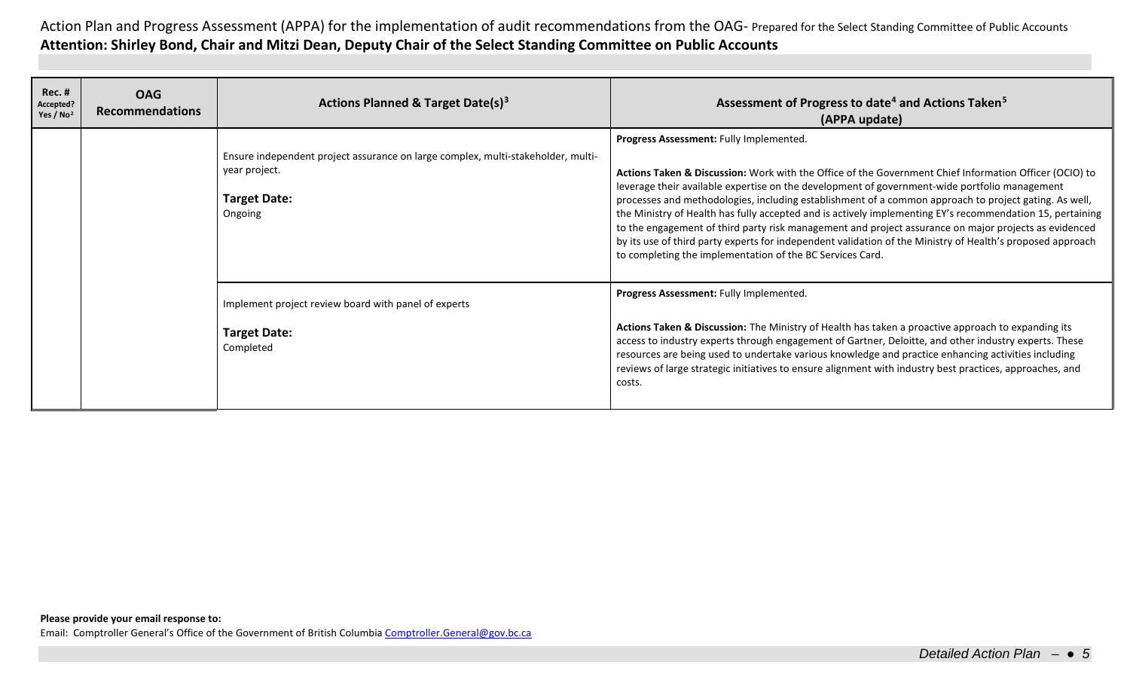| Rec. #<br>Accepted?<br>Yes / $No2$ | <b>OAG</b><br><b>Recommendations</b> | Actions Planned & Target Date(s) <sup>3</sup>                                                                                       | Assessment of Progress to date <sup>4</sup> and Actions Taken <sup>5</sup><br>(APPA update)                                                                                                                                                                                                                                                                                                                                                                                                                                                                                                                                                                                                                                                                  |
|------------------------------------|--------------------------------------|-------------------------------------------------------------------------------------------------------------------------------------|--------------------------------------------------------------------------------------------------------------------------------------------------------------------------------------------------------------------------------------------------------------------------------------------------------------------------------------------------------------------------------------------------------------------------------------------------------------------------------------------------------------------------------------------------------------------------------------------------------------------------------------------------------------------------------------------------------------------------------------------------------------|
|                                    |                                      | Ensure independent project assurance on large complex, multi-stakeholder, multi-<br>year project.<br><b>Target Date:</b><br>Ongoing | Progress Assessment: Fully Implemented.<br>Actions Taken & Discussion: Work with the Office of the Government Chief Information Officer (OCIO) to<br>leverage their available expertise on the development of government-wide portfolio management<br>processes and methodologies, including establishment of a common approach to project gating. As well,<br>the Ministry of Health has fully accepted and is actively implementing EY's recommendation 15, pertaining<br>to the engagement of third party risk management and project assurance on major projects as evidenced<br>by its use of third party experts for independent validation of the Ministry of Health's proposed approach<br>to completing the implementation of the BC Services Card. |
|                                    |                                      | Implement project review board with panel of experts<br><b>Target Date:</b><br>Completed                                            | Progress Assessment: Fully Implemented.<br>Actions Taken & Discussion: The Ministry of Health has taken a proactive approach to expanding its<br>access to industry experts through engagement of Gartner, Deloitte, and other industry experts. These<br>resources are being used to undertake various knowledge and practice enhancing activities including<br>reviews of large strategic initiatives to ensure alignment with industry best practices, approaches, and<br>costs.                                                                                                                                                                                                                                                                          |